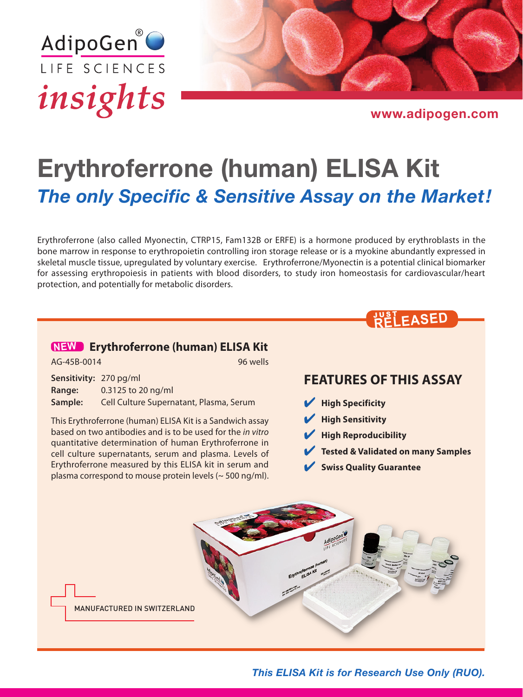



[www.adipogen.com](https://adipogen.com)

# Erythroferrone (human) ELISA Kit *The only Specific & Sensitive Assay on the Market!*

Erythroferrone (also called Myonectin, CTRP15, Fam132B or ERFE) is a hormone produced by erythroblasts in the bone marrow in response to erythropoietin controlling iron storage release or is a myokine abundantly expressed in skeletal muscle tissue, upregulated by voluntary exercise. Erythroferrone/Myonectin is a potential clinical biomarker for assessing erythropoiesis in patients with blood disorders, to study iron homeostasis for cardiovascular/heart protection, and potentially for metabolic disorders.

# **NEW [Erythroferrone \(human\) ELISA Kit](https://adipogen.com/ag-45b-0014-erythroferrone-human-elisa-kit.html)**

AG-45B-0014

**Sensitivity:** 270 pg/ml **Range:** 0.3125 to 20 ng/ml **Sample:** Cell Culture Supernatant, Plasma, Serum

This Erythroferrone (human) ELISA Kit is a Sandwich assay based on two antibodies and is to be used for the *in vitro* quantitative determination of human Erythroferrone in cell culture supernatants, serum and plasma. Levels of Erythroferrone measured by this ELISA kit in serum and plasma correspond to mouse protein levels (~ 500 ng/ml).

### **FEATURES OF THIS ASSAY**

JUST **RELEASED**

- 4 **High Specificity**
- 4 **High Sensitivity**
- 4 **High Reproducibility**
- 4 **Tested & Validated on many Samples**
- 4 **Swiss Quality Guarantee**



*This ELISA Kit is for Research Use Only (RUO).*